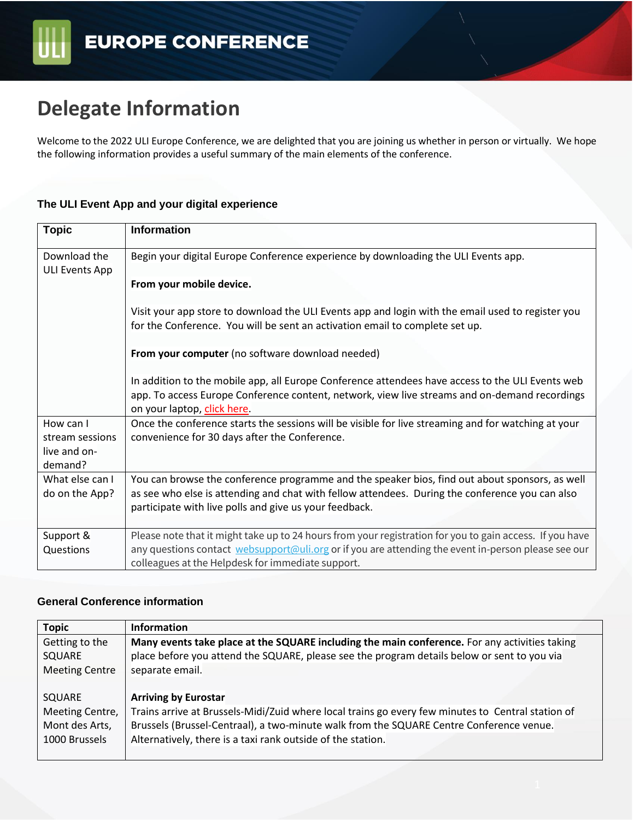# **Delegate Information**

Welcome to the 2022 ULI Europe Conference, we are delighted that you are joining us whether in person or virtually. We hope the following information provides a useful summary of the main elements of the conference.

#### **The ULI Event App and your digital experience**

| <b>Topic</b>                   | <b>Information</b>                                                                                                           |
|--------------------------------|------------------------------------------------------------------------------------------------------------------------------|
| Download the<br>ULI Events App | Begin your digital Europe Conference experience by downloading the ULI Events app.                                           |
|                                | From your mobile device.                                                                                                     |
|                                | Visit your app store to download the ULI Events app and login with the email used to register you                            |
|                                | for the Conference. You will be sent an activation email to complete set up.                                                 |
|                                | From your computer (no software download needed)                                                                             |
|                                | In addition to the mobile app, all Europe Conference attendees have access to the ULI Events web                             |
|                                | app. To access Europe Conference content, network, view live streams and on-demand recordings<br>on your laptop, click here. |
| How can I                      | Once the conference starts the sessions will be visible for live streaming and for watching at your                          |
| stream sessions                | convenience for 30 days after the Conference.                                                                                |
| live and on-<br>demand?        |                                                                                                                              |
| What else can I                | You can browse the conference programme and the speaker bios, find out about sponsors, as well                               |
| do on the App?                 | as see who else is attending and chat with fellow attendees. During the conference you can also                              |
|                                | participate with live polls and give us your feedback.                                                                       |
|                                |                                                                                                                              |
| Support &                      | Please note that it might take up to 24 hours from your registration for you to gain access. If you have                     |
| Questions                      | any questions contact websupport@uli.org or if you are attending the event in-person please see our                          |
|                                | colleagues at the Helpdesk for immediate support.                                                                            |

### **General Conference information**

| <b>Topic</b>          | <b>Information</b>                                                                                |
|-----------------------|---------------------------------------------------------------------------------------------------|
| Getting to the        | Many events take place at the SQUARE including the main conference. For any activities taking     |
| SQUARE                | place before you attend the SQUARE, please see the program details below or sent to you via       |
| <b>Meeting Centre</b> | separate email.                                                                                   |
|                       |                                                                                                   |
| SQUARE                | <b>Arriving by Eurostar</b>                                                                       |
| Meeting Centre,       | Trains arrive at Brussels-Midi/Zuid where local trains go every few minutes to Central station of |
| Mont des Arts,        | Brussels (Brussel-Centraal), a two-minute walk from the SQUARE Centre Conference venue.           |
| 1000 Brussels         | Alternatively, there is a taxi rank outside of the station.                                       |
|                       |                                                                                                   |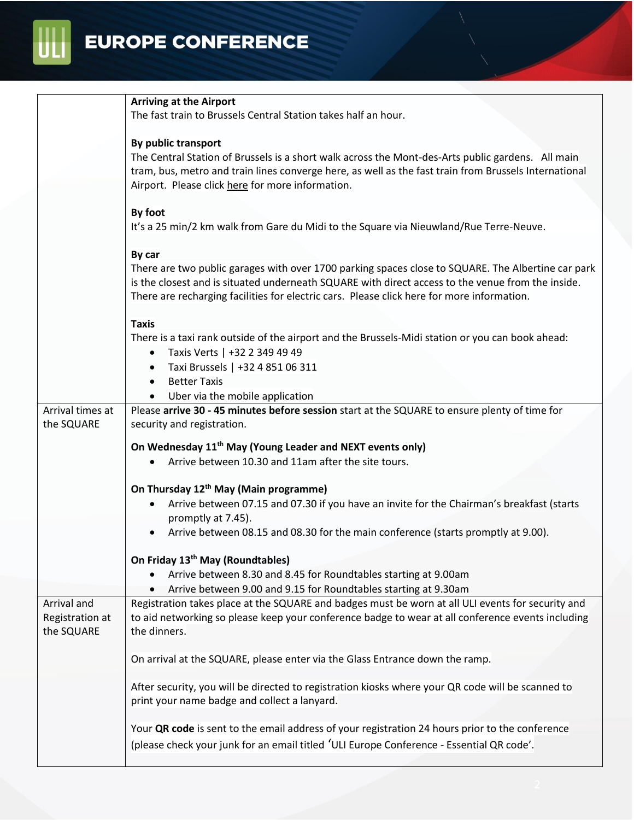# **EUROPE CONFERENCE**

UL

|                                | <b>Arriving at the Airport</b>                                                                                                                                                                         |
|--------------------------------|--------------------------------------------------------------------------------------------------------------------------------------------------------------------------------------------------------|
|                                | The fast train to Brussels Central Station takes half an hour.                                                                                                                                         |
|                                | By public transport                                                                                                                                                                                    |
|                                | The Central Station of Brussels is a short walk across the Mont-des-Arts public gardens. All main                                                                                                      |
|                                | tram, bus, metro and train lines converge here, as well as the fast train from Brussels International                                                                                                  |
|                                | Airport. Please click here for more information.                                                                                                                                                       |
|                                | By foot                                                                                                                                                                                                |
|                                | It's a 25 min/2 km walk from Gare du Midi to the Square via Nieuwland/Rue Terre-Neuve.                                                                                                                 |
|                                | By car                                                                                                                                                                                                 |
|                                | There are two public garages with over 1700 parking spaces close to SQUARE. The Albertine car park                                                                                                     |
|                                | is the closest and is situated underneath SQUARE with direct access to the venue from the inside.                                                                                                      |
|                                | There are recharging facilities for electric cars. Please click here for more information.                                                                                                             |
|                                | <b>Taxis</b>                                                                                                                                                                                           |
|                                | There is a taxi rank outside of the airport and the Brussels-Midi station or you can book ahead:                                                                                                       |
|                                | • Taxis Verts   +32 2 349 49 49                                                                                                                                                                        |
|                                | Taxi Brussels   +32 4 851 06 311                                                                                                                                                                       |
|                                | <b>Better Taxis</b>                                                                                                                                                                                    |
|                                | Uber via the mobile application                                                                                                                                                                        |
| Arrival times at<br>the SQUARE | Please arrive 30 - 45 minutes before session start at the SQUARE to ensure plenty of time for<br>security and registration.                                                                            |
|                                | On Wednesday 11 <sup>th</sup> May (Young Leader and NEXT events only)                                                                                                                                  |
|                                | Arrive between 10.30 and 11am after the site tours.                                                                                                                                                    |
|                                | On Thursday 12 <sup>th</sup> May (Main programme)                                                                                                                                                      |
|                                | Arrive between 07.15 and 07.30 if you have an invite for the Chairman's breakfast (starts                                                                                                              |
|                                | promptly at 7.45).                                                                                                                                                                                     |
|                                | Arrive between 08.15 and 08.30 for the main conference (starts promptly at 9.00).                                                                                                                      |
|                                | On Friday 13 <sup>th</sup> May (Roundtables)                                                                                                                                                           |
|                                | Arrive between 8.30 and 8.45 for Roundtables starting at 9.00am                                                                                                                                        |
|                                | Arrive between 9.00 and 9.15 for Roundtables starting at 9.30am                                                                                                                                        |
| Arrival and<br>Registration at | Registration takes place at the SQUARE and badges must be worn at all ULI events for security and<br>to aid networking so please keep your conference badge to wear at all conference events including |
| the SQUARE                     | the dinners.                                                                                                                                                                                           |
|                                | On arrival at the SQUARE, please enter via the Glass Entrance down the ramp.                                                                                                                           |
|                                | After security, you will be directed to registration kiosks where your QR code will be scanned to                                                                                                      |
|                                | print your name badge and collect a lanyard.                                                                                                                                                           |
|                                | Your QR code is sent to the email address of your registration 24 hours prior to the conference                                                                                                        |
|                                | (please check your junk for an email titled 'ULI Europe Conference - Essential QR code'.                                                                                                               |
|                                |                                                                                                                                                                                                        |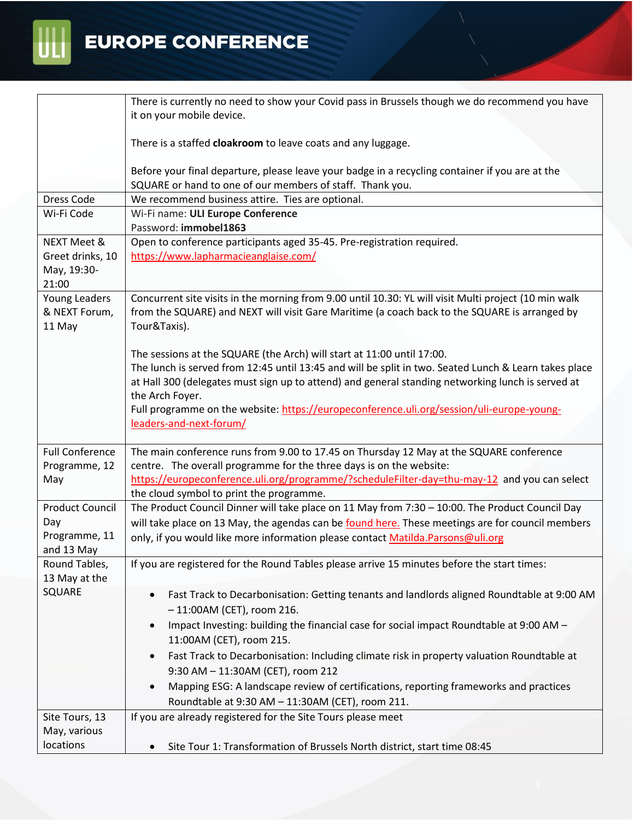

|                                          | There is currently no need to show your Covid pass in Brussels though we do recommend you have                                                                                                                         |
|------------------------------------------|------------------------------------------------------------------------------------------------------------------------------------------------------------------------------------------------------------------------|
|                                          | it on your mobile device.                                                                                                                                                                                              |
|                                          | There is a staffed cloakroom to leave coats and any luggage.                                                                                                                                                           |
|                                          | Before your final departure, please leave your badge in a recycling container if you are at the                                                                                                                        |
|                                          | SQUARE or hand to one of our members of staff. Thank you.                                                                                                                                                              |
| Dress Code                               | We recommend business attire. Ties are optional.                                                                                                                                                                       |
| Wi-Fi Code                               | Wi-Fi name: ULI Europe Conference<br>Password: immobel1863                                                                                                                                                             |
| <b>NEXT Meet &amp;</b>                   | Open to conference participants aged 35-45. Pre-registration required.                                                                                                                                                 |
| Greet drinks, 10                         | https://www.lapharmacieanglaise.com/                                                                                                                                                                                   |
| May, 19:30-<br>21:00                     |                                                                                                                                                                                                                        |
| Young Leaders<br>& NEXT Forum,<br>11 May | Concurrent site visits in the morning from 9.00 until 10.30: YL will visit Multi project (10 min walk<br>from the SQUARE) and NEXT will visit Gare Maritime (a coach back to the SQUARE is arranged by<br>Tour&Taxis). |
|                                          | The sessions at the SQUARE (the Arch) will start at 11:00 until 17:00.                                                                                                                                                 |
|                                          | The lunch is served from 12:45 until 13:45 and will be split in two. Seated Lunch & Learn takes place                                                                                                                  |
|                                          | at Hall 300 (delegates must sign up to attend) and general standing networking lunch is served at                                                                                                                      |
|                                          | the Arch Foyer.                                                                                                                                                                                                        |
|                                          | Full programme on the website: https://europeconference.uli.org/session/uli-europe-young-                                                                                                                              |
|                                          | leaders-and-next-forum/                                                                                                                                                                                                |
|                                          |                                                                                                                                                                                                                        |
| <b>Full Conference</b>                   | The main conference runs from 9.00 to 17.45 on Thursday 12 May at the SQUARE conference                                                                                                                                |
| Programme, 12<br>May                     | centre. The overall programme for the three days is on the website:<br>https://europeconference.uli.org/programme/?scheduleFilter-day=thu-may-12 and you can select                                                    |
|                                          | the cloud symbol to print the programme.                                                                                                                                                                               |
| <b>Product Council</b>                   | The Product Council Dinner will take place on 11 May from 7:30 - 10:00. The Product Council Day                                                                                                                        |
| Day                                      | will take place on 13 May, the agendas can be found here. These meetings are for council members                                                                                                                       |
| Programme, 11                            | only, if you would like more information please contact Matilda. Parsons@uli.org                                                                                                                                       |
| and 13 May                               |                                                                                                                                                                                                                        |
| Round Tables,<br>13 May at the           | If you are registered for the Round Tables please arrive 15 minutes before the start times:                                                                                                                            |
| SQUARE                                   | Fast Track to Decarbonisation: Getting tenants and landlords aligned Roundtable at 9:00 AM<br>$-11:00AM$ (CET), room 216.                                                                                              |
|                                          | Impact Investing: building the financial case for social impact Roundtable at 9:00 AM -                                                                                                                                |
|                                          | 11:00AM (CET), room 215.                                                                                                                                                                                               |
|                                          | Fast Track to Decarbonisation: Including climate risk in property valuation Roundtable at                                                                                                                              |
|                                          | 9:30 AM - 11:30AM (CET), room 212                                                                                                                                                                                      |
|                                          | Mapping ESG: A landscape review of certifications, reporting frameworks and practices                                                                                                                                  |
|                                          | Roundtable at 9:30 AM - 11:30AM (CET), room 211.                                                                                                                                                                       |
| Site Tours, 13                           | If you are already registered for the Site Tours please meet                                                                                                                                                           |
| May, various                             |                                                                                                                                                                                                                        |
| locations                                | Site Tour 1: Transformation of Brussels North district, start time 08:45                                                                                                                                               |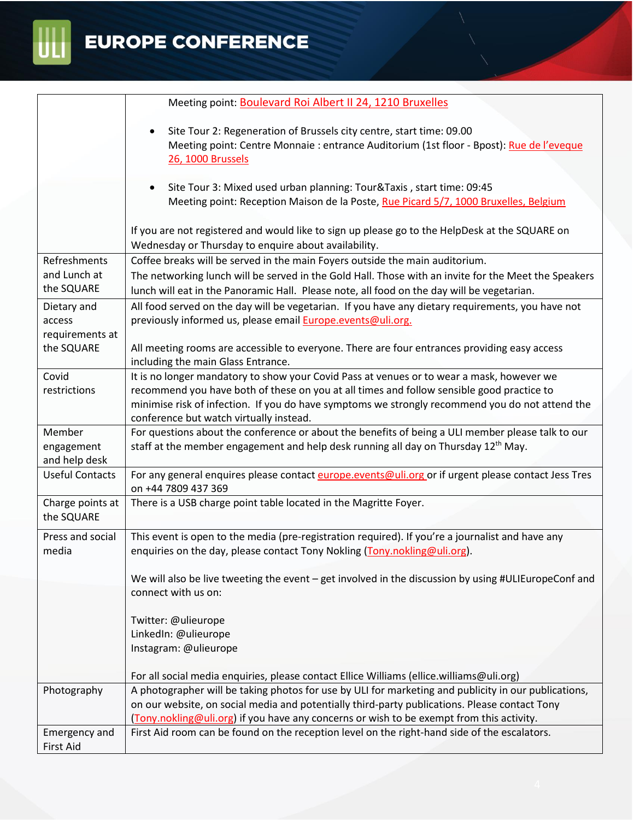

 $\begin{tabular}{|c|c|} \hline \rule{.8cm}{.4cm} \rule{.8cm}{.4cm} \rule{.8cm}{.4cm} \rule{.8cm}{.4cm} \rule{.8cm}{.4cm} \rule{.8cm}{.4cm} \rule{.8cm}{.4cm} \rule{.8cm}{.4cm} \rule{.8cm}{.4cm} \rule{.8cm}{.4cm} \rule{.8cm}{.4cm} \rule{.8cm}{.4cm} \rule{.8cm}{.4cm} \rule{.8cm}{.4cm} \rule{.8cm}{.4cm} \rule{.8cm}{.4cm} \rule{.8cm}{.4cm} \rule{.8cm}{.4cm} \rule{.8cm}{$ 

|                                         | Meeting point: Boulevard Roi Albert II 24, 1210 Bruxelles                                                                                                                                          |
|-----------------------------------------|----------------------------------------------------------------------------------------------------------------------------------------------------------------------------------------------------|
|                                         | Site Tour 2: Regeneration of Brussels city centre, start time: 09.00<br>Meeting point: Centre Monnaie : entrance Auditorium (1st floor - Bpost): Rue de l'eveque<br>26, 1000 Brussels              |
|                                         | Site Tour 3: Mixed used urban planning: Tour&Taxis, start time: 09:45<br>Meeting point: Reception Maison de la Poste, Rue Picard 5/7, 1000 Bruxelles, Belgium                                      |
|                                         | If you are not registered and would like to sign up please go to the HelpDesk at the SQUARE on<br>Wednesday or Thursday to enquire about availability.                                             |
| Refreshments                            | Coffee breaks will be served in the main Foyers outside the main auditorium.                                                                                                                       |
| and Lunch at<br>the SQUARE              | The networking lunch will be served in the Gold Hall. Those with an invite for the Meet the Speakers<br>lunch will eat in the Panoramic Hall. Please note, all food on the day will be vegetarian. |
| Dietary and                             | All food served on the day will be vegetarian. If you have any dietary requirements, you have not                                                                                                  |
| access                                  | previously informed us, please email <b>Europe.events@uli.org.</b>                                                                                                                                 |
| requirements at                         |                                                                                                                                                                                                    |
| the SQUARE                              | All meeting rooms are accessible to everyone. There are four entrances providing easy access<br>including the main Glass Entrance.                                                                 |
| Covid                                   | It is no longer mandatory to show your Covid Pass at venues or to wear a mask, however we                                                                                                          |
| restrictions                            | recommend you have both of these on you at all times and follow sensible good practice to                                                                                                          |
|                                         | minimise risk of infection. If you do have symptoms we strongly recommend you do not attend the                                                                                                    |
|                                         | conference but watch virtually instead.                                                                                                                                                            |
| Member                                  | For questions about the conference or about the benefits of being a ULI member please talk to our                                                                                                  |
| engagement                              | staff at the member engagement and help desk running all day on Thursday 12 <sup>th</sup> May.                                                                                                     |
| and help desk<br><b>Useful Contacts</b> |                                                                                                                                                                                                    |
|                                         | For any general enquires please contact europe.events@uli.org or if urgent please contact Jess Tres<br>on +44 7809 437 369                                                                         |
| Charge points at<br>the SQUARE          | There is a USB charge point table located in the Magritte Foyer.                                                                                                                                   |
| Press and social<br>media               | This event is open to the media (pre-registration required). If you're a journalist and have any<br>enquiries on the day, please contact Tony Nokling (Tony.nokling@uli.org).                      |
|                                         | We will also be live tweeting the event $-$ get involved in the discussion by using #ULIEuropeConf and<br>connect with us on:                                                                      |
|                                         |                                                                                                                                                                                                    |
|                                         | Twitter: @ulieurope<br>LinkedIn: @ulieurope                                                                                                                                                        |
|                                         | Instagram: @ulieurope                                                                                                                                                                              |
|                                         |                                                                                                                                                                                                    |
|                                         | For all social media enquiries, please contact Ellice Williams (ellice.williams@uli.org)                                                                                                           |
| Photography                             | A photographer will be taking photos for use by ULI for marketing and publicity in our publications,                                                                                               |
|                                         | on our website, on social media and potentially third-party publications. Please contact Tony                                                                                                      |
|                                         | (Tony.nokling@uli.org) if you have any concerns or wish to be exempt from this activity.                                                                                                           |
| Emergency and                           | First Aid room can be found on the reception level on the right-hand side of the escalators.                                                                                                       |
| <b>First Aid</b>                        |                                                                                                                                                                                                    |